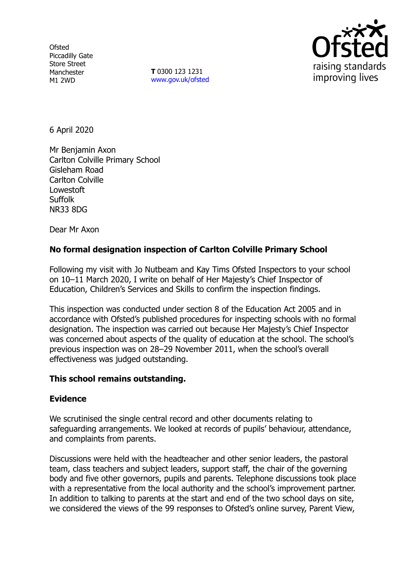**Ofsted** Piccadilly Gate Store Street Manchester M1 2WD

**T** 0300 123 1231 [www.gov.uk/ofsted](http://www.gov.uk/ofsted)



6 April 2020

Mr Benjamin Axon Carlton Colville Primary School Gisleham Road Carlton Colville Lowestoft Suffolk NR33 8DG

Dear Mr Axon

# **No formal designation inspection of Carlton Colville Primary School**

Following my visit with Jo Nutbeam and Kay Tims Ofsted Inspectors to your school on 10–11 March 2020, I write on behalf of Her Majesty's Chief Inspector of Education, Children's Services and Skills to confirm the inspection findings.

This inspection was conducted under section 8 of the Education Act 2005 and in accordance with Ofsted's published procedures for inspecting schools with no formal designation. The inspection was carried out because Her Majesty's Chief Inspector was concerned about aspects of the quality of education at the school. The school's previous inspection was on 28–29 November 2011, when the school's overall effectiveness was judged outstanding.

## **This school remains outstanding.**

### **Evidence**

We scrutinised the single central record and other documents relating to safeguarding arrangements. We looked at records of pupils' behaviour, attendance, and complaints from parents.

Discussions were held with the headteacher and other senior leaders, the pastoral team, class teachers and subject leaders, support staff, the chair of the governing body and five other governors, pupils and parents. Telephone discussions took place with a representative from the local authority and the school's improvement partner. In addition to talking to parents at the start and end of the two school days on site, we considered the views of the 99 responses to Ofsted's online survey, Parent View,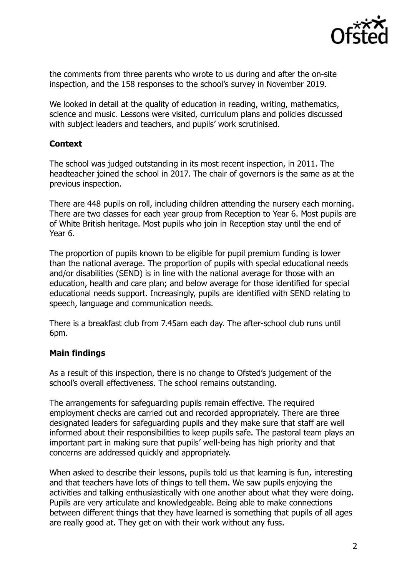

the comments from three parents who wrote to us during and after the on-site inspection, and the 158 responses to the school's survey in November 2019.

We looked in detail at the quality of education in reading, writing, mathematics, science and music. Lessons were visited, curriculum plans and policies discussed with subject leaders and teachers, and pupils' work scrutinised.

## **Context**

The school was judged outstanding in its most recent inspection, in 2011. The headteacher joined the school in 2017. The chair of governors is the same as at the previous inspection.

There are 448 pupils on roll, including children attending the nursery each morning. There are two classes for each year group from Reception to Year 6. Most pupils are of White British heritage. Most pupils who join in Reception stay until the end of Year 6.

The proportion of pupils known to be eligible for pupil premium funding is lower than the national average. The proportion of pupils with special educational needs and/or disabilities (SEND) is in line with the national average for those with an education, health and care plan; and below average for those identified for special educational needs support. Increasingly, pupils are identified with SEND relating to speech, language and communication needs.

There is a breakfast club from 7.45am each day. The after-school club runs until 6pm.

## **Main findings**

As a result of this inspection, there is no change to Ofsted's judgement of the school's overall effectiveness. The school remains outstanding.

The arrangements for safeguarding pupils remain effective. The required employment checks are carried out and recorded appropriately. There are three designated leaders for safeguarding pupils and they make sure that staff are well informed about their responsibilities to keep pupils safe. The pastoral team plays an important part in making sure that pupils' well-being has high priority and that concerns are addressed quickly and appropriately.

When asked to describe their lessons, pupils told us that learning is fun, interesting and that teachers have lots of things to tell them. We saw pupils enjoying the activities and talking enthusiastically with one another about what they were doing. Pupils are very articulate and knowledgeable. Being able to make connections between different things that they have learned is something that pupils of all ages are really good at. They get on with their work without any fuss.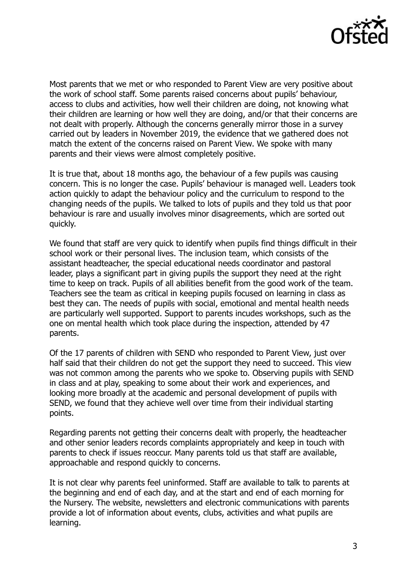

Most parents that we met or who responded to Parent View are very positive about the work of school staff. Some parents raised concerns about pupils' behaviour, access to clubs and activities, how well their children are doing, not knowing what their children are learning or how well they are doing, and/or that their concerns are not dealt with properly. Although the concerns generally mirror those in a survey carried out by leaders in November 2019, the evidence that we gathered does not match the extent of the concerns raised on Parent View. We spoke with many parents and their views were almost completely positive.

It is true that, about 18 months ago, the behaviour of a few pupils was causing concern. This is no longer the case. Pupils' behaviour is managed well. Leaders took action quickly to adapt the behaviour policy and the curriculum to respond to the changing needs of the pupils. We talked to lots of pupils and they told us that poor behaviour is rare and usually involves minor disagreements, which are sorted out quickly.

We found that staff are very quick to identify when pupils find things difficult in their school work or their personal lives. The inclusion team, which consists of the assistant headteacher, the special educational needs coordinator and pastoral leader, plays a significant part in giving pupils the support they need at the right time to keep on track. Pupils of all abilities benefit from the good work of the team. Teachers see the team as critical in keeping pupils focused on learning in class as best they can. The needs of pupils with social, emotional and mental health needs are particularly well supported. Support to parents incudes workshops, such as the one on mental health which took place during the inspection, attended by 47 parents.

Of the 17 parents of children with SEND who responded to Parent View, just over half said that their children do not get the support they need to succeed. This view was not common among the parents who we spoke to. Observing pupils with SEND in class and at play, speaking to some about their work and experiences, and looking more broadly at the academic and personal development of pupils with SEND, we found that they achieve well over time from their individual starting points.

Regarding parents not getting their concerns dealt with properly, the headteacher and other senior leaders records complaints appropriately and keep in touch with parents to check if issues reoccur. Many parents told us that staff are available, approachable and respond quickly to concerns.

It is not clear why parents feel uninformed. Staff are available to talk to parents at the beginning and end of each day, and at the start and end of each morning for the Nursery. The website, newsletters and electronic communications with parents provide a lot of information about events, clubs, activities and what pupils are learning.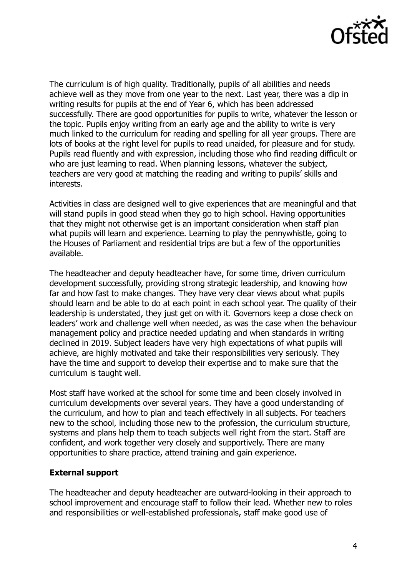

The curriculum is of high quality. Traditionally, pupils of all abilities and needs achieve well as they move from one year to the next. Last year, there was a dip in writing results for pupils at the end of Year 6, which has been addressed successfully. There are good opportunities for pupils to write, whatever the lesson or the topic. Pupils enjoy writing from an early age and the ability to write is very much linked to the curriculum for reading and spelling for all year groups. There are lots of books at the right level for pupils to read unaided, for pleasure and for study. Pupils read fluently and with expression, including those who find reading difficult or who are just learning to read. When planning lessons, whatever the subject, teachers are very good at matching the reading and writing to pupils' skills and interests.

Activities in class are designed well to give experiences that are meaningful and that will stand pupils in good stead when they go to high school. Having opportunities that they might not otherwise get is an important consideration when staff plan what pupils will learn and experience. Learning to play the pennywhistle, going to the Houses of Parliament and residential trips are but a few of the opportunities available.

The headteacher and deputy headteacher have, for some time, driven curriculum development successfully, providing strong strategic leadership, and knowing how far and how fast to make changes. They have very clear views about what pupils should learn and be able to do at each point in each school year. The quality of their leadership is understated, they just get on with it. Governors keep a close check on leaders' work and challenge well when needed, as was the case when the behaviour management policy and practice needed updating and when standards in writing declined in 2019. Subject leaders have very high expectations of what pupils will achieve, are highly motivated and take their responsibilities very seriously. They have the time and support to develop their expertise and to make sure that the curriculum is taught well.

Most staff have worked at the school for some time and been closely involved in curriculum developments over several years. They have a good understanding of the curriculum, and how to plan and teach effectively in all subjects. For teachers new to the school, including those new to the profession, the curriculum structure, systems and plans help them to teach subjects well right from the start. Staff are confident, and work together very closely and supportively. There are many opportunities to share practice, attend training and gain experience.

## **External support**

The headteacher and deputy headteacher are outward-looking in their approach to school improvement and encourage staff to follow their lead. Whether new to roles and responsibilities or well-established professionals, staff make good use of